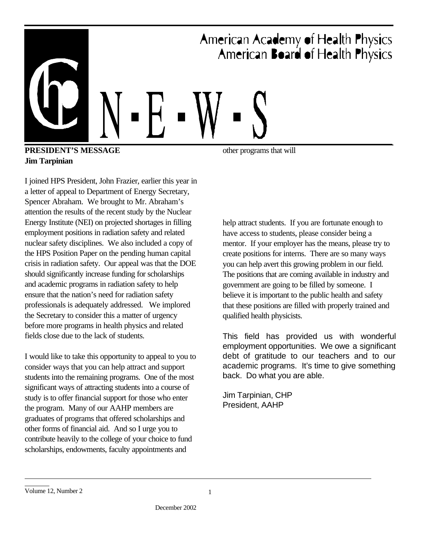

### **PRESIDENT'S MESSAGE Jim Tarpinian**

I joined HPS President, John Frazier, earlier this year in a letter of appeal to Department of Energy Secretary, Spencer Abraham. We brought to Mr. Abraham's attention the results of the recent study by the Nuclear Energy Institute (NEI) on projected shortages in filling employment positions in radiation safety and related nuclear safety disciplines. We also included a copy of the HPS Position Paper on the pending human capital crisis in radiation safety. Our appeal was that the DOE should significantly increase funding for scholarships and academic programs in radiation safety to help ensure that the nation's need for radiation safety professionals is adequately addressed. We implored the Secretary to consider this a matter of urgency before more programs in health physics and related fields close due to the lack of students.

I would like to take this opportunity to appeal to you to consider ways that you can help attract and support students into the remaining programs. One of the most significant ways of attracting students into a course of study is to offer financial support for those who enter the program. Many of our AAHP members are graduates of programs that offered scholarships and other forms of financial aid. And so I urge you to contribute heavily to the college of your choice to fund scholarships, endowments, faculty appointments and

help attract students. If you are fortunate enough to have access to students, please consider being a mentor. If your employer has the means, please try to create positions for interns. There are so many ways you can help avert this growing problem in our field. The positions that are coming available in industry and government are going to be filled by someone. I believe it is important to the public health and safety that these positions are filled with properly trained and qualified health physicists.

This field has provided us with wonderful employment opportunities. We owe a significant debt of gratitude to our teachers and to our academic programs. It's time to give something back. Do what you are able.

Jim Tarpinian, CHP President, AAHP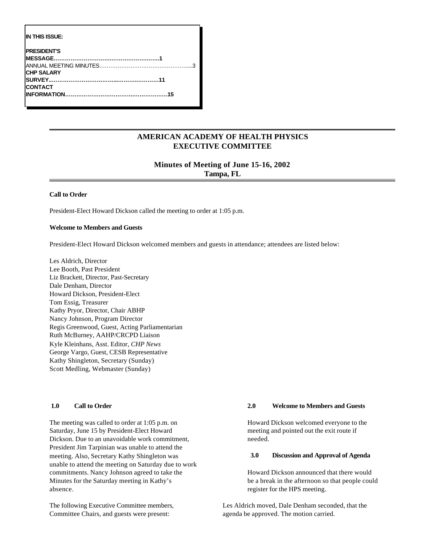| IN THIS ISSUE:     |  |
|--------------------|--|
| <b>PRESIDENT'S</b> |  |
|                    |  |
|                    |  |
| <b>CHP SALARY</b>  |  |
|                    |  |
| CONTACT            |  |
|                    |  |
|                    |  |

### **AMERICAN ACADEMY OF HEALTH PHYSICS EXECUTIVE COMMITTEE**

### **Minutes of Meeting of June 15-16, 2002 Tampa, FL**

#### **Call to Order**

President-Elect Howard Dickson called the meeting to order at 1:05 p.m.

### **Welcome to Members and Guests**

President-Elect Howard Dickson welcomed members and guests in attendance; attendees are listed below:

Les Aldrich, Director Lee Booth, Past President Liz Brackett, Director, Past-Secretary Dale Denham, Director Howard Dickson, President-Elect Tom Essig, Treasurer Kathy Pryor, Director, Chair ABHP Nancy Johnson, Program Director Regis Greenwood, Guest, Acting Parliamentarian Ruth McBurney, AAHP/CRCPD Liaison Kyle Kleinhans, Asst. Editor, *CHP News* George Vargo, Guest, CESB Representative Kathy Shingleton, Secretary (Sunday) Scott Medling, Webmaster (Sunday)

#### **1.0 Call to Order**

The meeting was called to order at 1:05 p.m. on Saturday, June 15 by President-Elect Howard Dickson. Due to an unavoidable work commitment, President Jim Tarpinian was unable to attend the meeting. Also, Secretary Kathy Shingleton was unable to attend the meeting on Saturday due to work commitments. Nancy Johnson agreed to take the Minutes for the Saturday meeting in Kathy's absence.

The following Executive Committee members, Committee Chairs, and guests were present:

### **2.0 Welcome to Members and Guests**

Howard Dickson welcomed everyone to the meeting and pointed out the exit route if needed.

#### **3.0 Discussion and Approval of Agenda**

Howard Dickson announced that there would be a break in the afternoon so that people could register for the HPS meeting.

Les Aldrich moved, Dale Denham seconded, that the agenda be approved. The motion carried.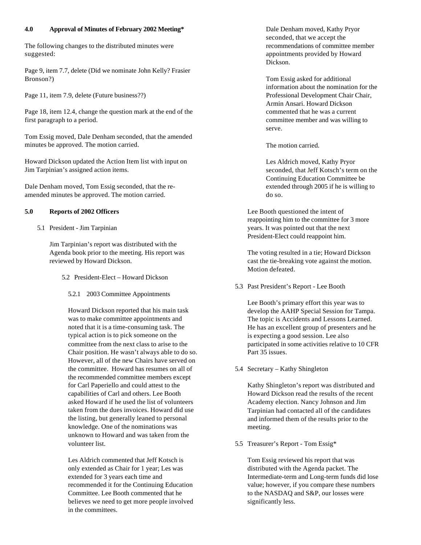### **4.0 Approval of Minutes of February 2002 Meeting\***

The following changes to the distributed minutes were suggested:

Page 9, item 7.7, delete (Did we nominate John Kelly? Frasier Bronson?)

Page 11, item 7.9, delete (Future business??)

Page 18, item 12.4, change the question mark at the end of the first paragraph to a period.

Tom Essig moved, Dale Denham seconded, that the amended minutes be approved. The motion carried.

Howard Dickson updated the Action Item list with input on Jim Tarpinian's assigned action items.

Dale Denham moved, Tom Essig seconded, that the reamended minutes be approved. The motion carried.

### **5.0 Reports of 2002 Officers**

5.1 President - Jim Tarpinian

Jim Tarpinian's report was distributed with the Agenda book prior to the meeting. His report was reviewed by Howard Dickson.

- 5.2 President-Elect Howard Dickson
	- 5.2.1 2003 Committee Appointments

Howard Dickson reported that his main task was to make committee appointments and noted that it is a time-consuming task. The typical action is to pick someone on the committee from the next class to arise to the Chair position. He wasn't always able to do so. However, all of the new Chairs have served on the committee. Howard has resumes on all of the recommended committee members except for Carl Paperiello and could attest to the capabilities of Carl and others. Lee Booth asked Howard if he used the list of volunteers taken from the dues invoices. Howard did use the listing, but generally leaned to personal knowledge. One of the nominations was unknown to Howard and was taken from the volunteer list.

Les Aldrich commented that Jeff Kotsch is only extended as Chair for 1 year; Les was extended for 3 years each time and recommended it for the Continuing Education Committee. Lee Booth commented that he believes we need to get more people involved in the committees.

Dale Denham moved, Kathy Pryor seconded, that we accept the recommendations of committee member appointments provided by Howard Dickson.

Tom Essig asked for additional information about the nomination for the Professional Development Chair Chair, Armin Ansari. Howard Dickson commented that he was a current committee member and was willing to serve.

The motion carried.

Les Aldrich moved, Kathy Pryor seconded, that Jeff Kotsch's term on the Continuing Education Committee be extended through 2005 if he is willing to do so.

Lee Booth questioned the intent of reappointing him to the committee for 3 more years. It was pointed out that the next President-Elect could reappoint him.

The voting resulted in a tie; Howard Dickson cast the tie-breaking vote against the motion. Motion defeated.

5.3 Past President's Report - Lee Booth

Lee Booth's primary effort this year was to develop the AAHP Special Session for Tampa. The topic is Accidents and Lessons Learned. He has an excellent group of presenters and he is expecting a good session. Lee also participated in some activities relative to 10 CFR Part 35 issues.

5.4 Secretary – Kathy Shingleton

Kathy Shingleton's report was distributed and Howard Dickson read the results of the recent Academy election. Nancy Johnson and Jim Tarpinian had contacted all of the candidates and informed them of the results prior to the meeting.

5.5 Treasurer's Report - Tom Essig\*

Tom Essig reviewed his report that was distributed with the Agenda packet. The Intermediate-term and Long-term funds did lose value; however, if you compare these numbers to the NASDAQ and S&P, our losses were significantly less.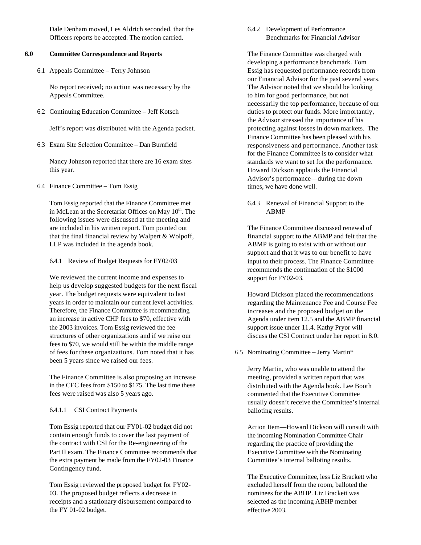Dale Denham moved, Les Aldrich seconded, that the Officers reports be accepted. The motion carried.

### **6.0 Committee Correspondence and Reports**

6.1 Appeals Committee – Terry Johnson

No report received; no action was necessary by the Appeals Committee.

6.2 Continuing Education Committee – Jeff Kotsch

Jeff's report was distributed with the Agenda packet.

6.3 Exam Site Selection Committee – Dan Burnfield

Nancy Johnson reported that there are 16 exam sites this year.

6.4 Finance Committee – Tom Essig

Tom Essig reported that the Finance Committee met in McLean at the Secretariat Offices on May 10<sup>th</sup>. The following issues were discussed at the meeting and are included in his written report. Tom pointed out that the final financial review by Walpert & Wolpoff, LLP was included in the agenda book.

6.4.1 Review of Budget Requests for FY02/03

We reviewed the current income and expenses to help us develop suggested budgets for the next fiscal year. The budget requests were equivalent to last years in order to maintain our current level activities. Therefore, the Finance Committee is recommending an increase in active CHP fees to \$70, effective with the 2003 invoices. Tom Essig reviewed the fee structures of other organizations and if we raise our fees to \$70, we would still be within the middle range of fees for these organizations. Tom noted that it has been 5 years since we raised our fees.

The Finance Committee is also proposing an increase in the CEC fees from \$150 to \$175. The last time these fees were raised was also 5 years ago.

### 6.4.1.1 CSI Contract Payments

Tom Essig reported that our FY01-02 budget did not contain enough funds to cover the last payment of the contract with CSI for the Re-engineering of the Part II exam. The Finance Committee recommends that the extra payment be made from the FY02-03 Finance Contingency fund.

Tom Essig reviewed the proposed budget for FY02- 03. The proposed budget reflects a decrease in receipts and a stationary disbursement compared to the FY 01-02 budget.

### 6.4.2 Development of Performance Benchmarks for Financial Advisor

The Finance Committee was charged with developing a performance benchmark. Tom Essig has requested performance records from our Financial Advisor for the past several years. The Advisor noted that we should be looking to him for good performance, but not necessarily the top performance, because of our duties to protect our funds. More importantly, the Advisor stressed the importance of his protecting against losses in down markets. The Finance Committee has been pleased with his responsiveness and performance. Another task for the Finance Committee is to consider what standards we want to set for the performance. Howard Dickson applauds the Financial Advisor's performance—during the down times, we have done well.

6.4.3 Renewal of Financial Support to the ABMP

The Finance Committee discussed renewal of financial support to the ABMP and felt that the ABMP is going to exist with or without our support and that it was to our benefit to have input to their process. The Finance Committee recommends the continuation of the \$1000 support for FY02-03.

Howard Dickson placed the recommendations regarding the Maintenance Fee and Course Fee increases and the proposed budget on the Agenda under item 12.5 and the ABMP financial support issue under 11.4. Kathy Pryor will discuss the CSI Contract under her report in 8.0.

6.5 Nominating Committee – Jerry Martin\*

Jerry Martin, who was unable to attend the meeting, provided a written report that was distributed with the Agenda book. Lee Booth commented that the Executive Committee usually doesn't receive the Committee's internal balloting results.

Action Item—Howard Dickson will consult with the incoming Nomination Committee Chair regarding the practice of providing the Executive Committee with the Nominating Committee's internal balloting results.

The Executive Committee, less Liz Brackett who excluded herself from the room, balloted the nominees for the ABHP. Liz Brackett was selected as the incoming ABHP member effective 2003.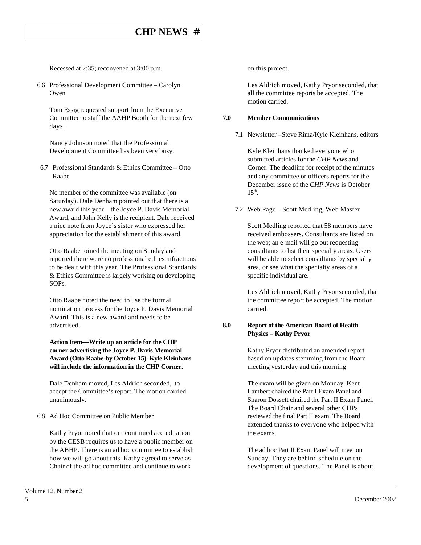# **CHP NEWS**\_#

Recessed at 2:35; reconvened at 3:00 p.m.

6.6 Professional Development Committee – Carolyn Owen

Tom Essig requested support from the Executive Committee to staff the AAHP Booth for the next few days.

Nancy Johnson noted that the Professional Development Committee has been very busy.

6.7 Professional Standards & Ethics Committee – Otto Raabe

No member of the committee was available (on Saturday). Dale Denham pointed out that there is a new award this year—the Joyce P. Davis Memorial Award, and John Kelly is the recipient. Dale received a nice note from Joyce's sister who expressed her appreciation for the establishment of this award.

Otto Raabe joined the meeting on Sunday and reported there were no professional ethics infractions to be dealt with this year. The Professional Standards & Ethics Committee is largely working on developing SOPs.

Otto Raabe noted the need to use the formal nomination process for the Joyce P. Davis Memorial Award. This is a new award and needs to be advertised.

**Action Item—Write up an article for the CHP corner advertising the Joyce P. Davis Memorial Award (Otto Raabe-by October 15). Kyle Kleinhans will include the information in the CHP Corner.**

Dale Denham moved, Les Aldrich seconded, to accept the Committee's report. The motion carried unanimously.

6.8 Ad Hoc Committee on Public Member

Kathy Pryor noted that our continued accreditation by the CESB requires us to have a public member on the ABHP. There is an ad hoc committee to establish how we will go about this. Kathy agreed to serve as Chair of the ad hoc committee and continue to work

on this project.

Les Aldrich moved, Kathy Pryor seconded, that all the committee reports be accepted. The motion carried.

### **7.0 Member Communications**

7.1 Newsletter –Steve Rima/Kyle Kleinhans, editors

Kyle Kleinhans thanked everyone who submitted articles for the *CHP News* and Corner. The deadline for receipt of the minutes and any committee or officers reports for the December issue of the *CHP News* is October  $15<sup>th</sup>$ .

7.2 Web Page – Scott Medling, Web Master

Scott Medling reported that 58 members have received embossers. Consultants are listed on the web; an e-mail will go out requesting consultants to list their specialty areas. Users will be able to select consultants by specialty area, or see what the specialty areas of a specific individual are.

Les Aldrich moved, Kathy Pryor seconded, that the committee report be accepted. The motion carried.

### **8.0 Report of the American Board of Health Physics – Kathy Pryor**

Kathy Pryor distributed an amended report based on updates stemming from the Board meeting yesterday and this morning.

The exam will be given on Monday. Kent Lambert chaired the Part I Exam Panel and Sharon Dossett chaired the Part II Exam Panel. The Board Chair and several other CHPs reviewed the final Part II exam. The Board extended thanks to everyone who helped with the exams.

The ad hoc Part II Exam Panel will meet on Sunday. They are behind schedule on the development of questions. The Panel is about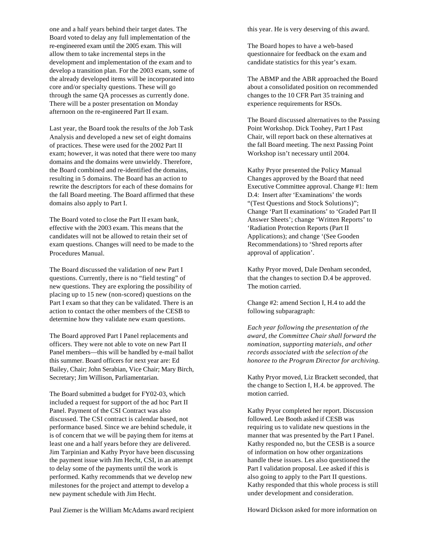one and a half years behind their target dates. The Board voted to delay any full implementation of the re-engineered exam until the 2005 exam. This will allow them to take incremental steps in the development and implementation of the exam and to develop a transition plan. For the 2003 exam, some of the already developed items will be incorporated into core and/or specialty questions. These will go through the same QA processes as currently done. There will be a poster presentation on Monday afternoon on the re-engineered Part II exam.

Last year, the Board took the results of the Job Task Analysis and developed a new set of eight domains of practices. These were used for the 2002 Part II exam; however, it was noted that there were too many domains and the domains were unwieldy. Therefore, the Board combined and re-identified the domains, resulting in 5 domains. The Board has an action to rewrite the descriptors for each of these domains for the fall Board meeting. The Board affirmed that these domains also apply to Part I.

The Board voted to close the Part II exam bank, effective with the 2003 exam. This means that the candidates will not be allowed to retain their set of exam questions. Changes will need to be made to the Procedures Manual.

The Board discussed the validation of new Part I questions. Currently, there is no "field testing" of new questions. They are exploring the possibility of placing up to 15 new (non-scored) questions on the Part I exam so that they can be validated. There is an action to contact the other members of the CESB to determine how they validate new exam questions.

The Board approved Part I Panel replacements and officers. They were not able to vote on new Part II Panel members—this will be handled by e-mail ballot this summer. Board officers for next year are: Ed Bailey, Chair; John Serabian, Vice Chair; Mary Birch, Secretary; Jim Willison, Parliamentarian.

The Board submitted a budget for FY02-03, which included a request for support of the ad hoc Part II Panel. Payment of the CSI Contract was also discussed. The CSI contract is calendar based, not performance based. Since we are behind schedule, it is of concern that we will be paying them for items at least one and a half years before they are delivered. Jim Tarpinian and Kathy Pryor have been discussing the payment issue with Jim Hecht, CSI, in an attempt to delay some of the payments until the work is performed. Kathy recommends that we develop new milestones for the project and attempt to develop a new payment schedule with Jim Hecht.

this year. He is very deserving of this award.

The Board hopes to have a web-based questionnaire for feedback on the exam and candidate statistics for this year's exam.

The ABMP and the ABR approached the Board about a consolidated position on recommended changes to the 10 CFR Part 35 training and experience requirements for RSOs.

The Board discussed alternatives to the Passing Point Workshop. Dick Toohey, Part I Past Chair, will report back on these alternatives at the fall Board meeting. The next Passing Point Workshop isn't necessary until 2004.

Kathy Pryor presented the Policy Manual Changes approved by the Board that need Executive Committee approval. Change #1: Item D.4: Insert after 'Examinations' the words "(Test Questions and Stock Solutions)"; Change 'Part II examinations' to 'Graded Part II Answer Sheets'; change 'Written Reports' to 'Radiation Protection Reports (Part II Applications); and change '(See Gooden Recommendations) to 'Shred reports after approval of application'.

Kathy Pryor moved, Dale Denham seconded, that the changes to section D.4 be approved. The motion carried.

Change #2: amend Section I, H.4 to add the following subparagraph:

*Each year following the presentation of the award, the Committee Chair shall forward the nomination, supporting materials, and other records associated with the selection of the honoree to the Program Director for archiving.*

Kathy Pryor moved, Liz Brackett seconded, that the change to Section I, H.4. be approved. The motion carried.

Kathy Pryor completed her report. Discussion followed. Lee Booth asked if CESB was requiring us to validate new questions in the manner that was presented by the Part I Panel. Kathy responded no, but the CESB is a source of information on how other organizations handle these issues. Les also questioned the Part I validation proposal. Lee asked if this is also going to apply to the Part II questions. Kathy responded that this whole process is still under development and consideration.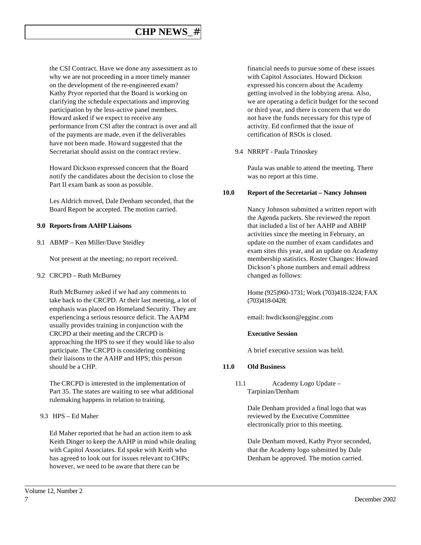# **CHP NEWS**\_#

the CSI Contract. Have we done any assessment as to why we are not proceeding in a more timely manner on the development of the re-engineered exam? Kathy Pryor reported that the Board is working on clarifying the schedule expectations and improving participation by the less-active panel members. Howard asked if we expect to receive any performance from CSI after the contract is over and all of the payments are made, even if the deliverables have not been made. Howard suggested that the Secretariat should assist on the contract review.

Howard Dickson expressed concern that the Board notify the candidates about the decision to close the Part II exam bank as soon as possible.

Les Aldrich moved, Dale Denham seconded, that the Board Report be accepted. The motion carried.

### **9.0 Reports from AAHP Liaisons**

9.1 ABMP – Ken Miller/Dave Steidley

Not present at the meeting; no report received.

9.2 CRCPD – Ruth McBurney

Ruth McBurney asked if we had any comments to take back to the CRCPD. At their last meeting, a lot of emphasis was placed on Homeland Security. They are experiencing a serious resource deficit. The AAPM usually provides training in conjunction with the CRCPD at their meeting and the CRCPD is approaching the HPS to see if they would like to also participate. The CRCPD is considering combining their liaisons to the AAHP and HPS; this person should be a CHP.

The CRCPD is interested in the implementation of Part 35. The states are waiting to see what additional rulemaking happens in relation to training.

9.3 HPS – Ed Maher

Ed Maher reported that he had an action item to ask Keith Dinger to keep the AAHP in mind while dealing with Capitol Associates. Ed spoke with Keith who has agreed to look out for issues relevant to CHPs; however, we need to be aware that there can be

financial needs to pursue some of these issues with Capitol Associates. Howard Dickson expressed his concern about the Academy getting involved in the lobbying arena. Also, we are operating a deficit budget for the second or third year, and there is concern that we do not have the funds necessary for this type of activity. Ed confirmed that the issue of certification of RSOs is closed.

9.4 NRRPT - Paula Trinoskey

Paula was unable to attend the meeting. There was no report at this time.

### **10.0 Report of the Secretariat – Nancy Johnson**

Nancy Johnson submitted a written report with the Agenda packets. She reviewed the report that included a list of her AAHP and ABHP activities since the meeting in February, an update on the number of exam candidates and exam sites this year, and an update on Academy membership statistics. Roster Changes: Howard Dickson's phone numbers and email address changed as follows:

Home (925)960-1731; Work (703)418-3224; FAX (703)418-0428;

email: hwdickson@egginc.com

#### **Executive Session**

A brief executive session was held.

### **11.0 Old Business**

11.1 Academy Logo Update – Tarpinian/Denham

> Dale Denham provided a final logo that was reviewed by the Executive Committee electronically prior to this meeting.

Dale Denham moved, Kathy Pryor seconded, that the Academy logo submitted by Dale Denham be approved. The motion carried.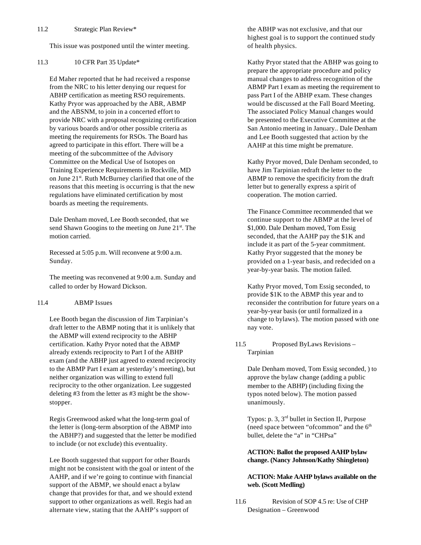This issue was postponed until the winter meeting.

### 11.3 10 CFR Part 35 Update\*

Ed Maher reported that he had received a response from the NRC to his letter denying our request for ABHP certification as meeting RSO requirements. Kathy Pryor was approached by the ABR, ABMP and the ABSNM, to join in a concerted effort to provide NRC with a proposal recognizing certification by various boards and/or other possible criteria as meeting the requirements for RSOs. The Board has agreed to participate in this effort. There will be a meeting of the subcommittee of the Advisory Committee on the Medical Use of Isotopes on Training Experience Requirements in Rockville, MD on June 21<sup>st</sup>. Ruth McBurney clarified that one of the reasons that this meeting is occurring is that the new regulations have eliminated certification by most boards as meeting the requirements.

Dale Denham moved, Lee Booth seconded, that we send Shawn Googins to the meeting on June  $21<sup>st</sup>$ . The motion carried.

Recessed at 5:05 p.m. Will reconvene at 9:00 a.m. Sunday.

The meeting was reconvened at 9:00 a.m. Sunday and called to order by Howard Dickson.

### 11.4 ABMP Issues

Lee Booth began the discussion of Jim Tarpinian's draft letter to the ABMP noting that it is unlikely that the ABMP will extend reciprocity to the ABHP certification. Kathy Pryor noted that the ABMP already extends reciprocity to Part I of the ABHP exam (and the ABHP just agreed to extend reciprocity to the ABMP Part I exam at yesterday's meeting), but neither organization was willing to extend full reciprocity to the other organization. Lee suggested deleting #3 from the letter as #3 might be the showstopper.

Regis Greenwood asked what the long-term goal of the letter is (long-term absorption of the ABMP into the ABHP?) and suggested that the letter be modified to include (or not exclude) this eventuality.

Lee Booth suggested that support for other Boards might not be consistent with the goal or intent of the AAHP, and if we're going to continue with financial support of the ABMP, we should enact a bylaw change that provides for that, and we should extend support to other organizations as well. Regis had an alternate view, stating that the AAHP's support of

the ABHP was not exclusive, and that our highest goal is to support the continued study of health physics.

Kathy Pryor stated that the ABHP was going to prepare the appropriate procedure and policy manual changes to address recognition of the ABMP Part I exam as meeting the requirement to pass Part I of the ABHP exam. These changes would be discussed at the Fall Board Meeting. The associated Policy Manual changes would be presented to the Executive Committee at the San Antonio meeting in January.. Dale Denham and Lee Booth suggested that action by the AAHP at this time might be premature.

Kathy Pryor moved, Dale Denham seconded, to have Jim Tarpinian redraft the letter to the ABMP to remove the specificity from the draft letter but to generally express a spirit of cooperation. The motion carried.

The Finance Committee recommended that we continue support to the ABMP at the level of \$1,000. Dale Denham moved, Tom Essig seconded, that the AAHP pay the \$1K and include it as part of the 5-year commitment. Kathy Pryor suggested that the money be provided on a 1-year basis, and redecided on a year-by-year basis. The motion failed.

Kathy Pryor moved, Tom Essig seconded, to provide \$1K to the ABMP this year and to reconsider the contribution for future years on a year-by-year basis (or until formalized in a change to bylaws). The motion passed with one nay vote.

### 11.5 Proposed ByLaws Revisions – Tarpinian

Dale Denham moved, Tom Essig seconded, ) to approve the bylaw change (adding a public member to the ABHP) (including fixing the typos noted below). The motion passed unanimously.

Typos: p. 3, 3rd bullet in Section II, Purpose (need space between "ofcommon" and the  $6<sup>th</sup>$ bullet, delete the "a" in "CHPsa"

### **ACTION: Ballot the proposed AAHP bylaw change. (Nancy Johnson/Kathy Shingleton)**

### **ACTION: Make AAHP bylaws available on the web. (Scott Medling)**

11.6 Revision of SOP 4.5 re: Use of CHP Designation – Greenwood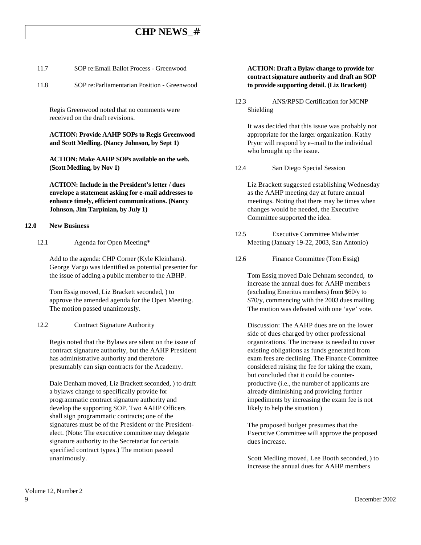## **CHP NEWS**\_#

| 11.7 | SOP re: Email Ballot Process - Greenwood |
|------|------------------------------------------|
|------|------------------------------------------|

11.8 SOP re:Parliamentarian Position - Greenwood

Regis Greenwood noted that no comments were received on the draft revisions.

**ACTION: Provide AAHP SOPs to Regis Greenwood and Scott Medling. (Nancy Johnson, by Sept 1)**

**ACTION: Make AAHP SOPs available on the web. (Scott Medling, by Nov 1)**

**ACTION: Include in the President's letter / dues envelope a statement asking for e-mail addresses to enhance timely, efficient communications. (Nancy Johnson, Jim Tarpinian, by July 1)**

#### **12.0 New Business**

12.1 Agenda for Open Meeting\*

Add to the agenda: CHP Corner (Kyle Kleinhans). George Vargo was identified as potential presenter for the issue of adding a public member to the ABHP.

Tom Essig moved, Liz Brackett seconded, ) to approve the amended agenda for the Open Meeting. The motion passed unanimously.

12.2 Contract Signature Authority

Regis noted that the Bylaws are silent on the issue of contract signature authority, but the AAHP President has administrative authority and therefore presumably can sign contracts for the Academy.

Dale Denham moved, Liz Brackett seconded, ) to draft a bylaws change to specifically provide for programmatic contract signature authority and develop the supporting SOP. Two AAHP Officers shall sign programmatic contracts; one of the signatures must be of the President or the Presidentelect. (Note: The executive committee may delegate signature authority to the Secretariat for certain specified contract types.) The motion passed unanimously.

### **ACTION: Draft a Bylaw change to provide for contract signature authority and draft an SOP to provide supporting detail. (Liz Brackett)**

12.3 ANS/RPSD Certification for MCNP Shielding

It was decided that this issue was probably not appropriate for the larger organization. Kathy Pryor will respond by e–mail to the individual who brought up the issue.

12.4 San Diego Special Session

Liz Brackett suggested establishing Wednesday as the AAHP meeting day at future annual meetings. Noting that there may be times when changes would be needed, the Executive Committee supported the idea.

- 12.5 Executive Committee Midwinter Meeting (January 19-22, 2003, San Antonio)
- 12.6 Finance Committee (Tom Essig)

Tom Essig moved Dale Dehnam seconded, to increase the annual dues for AAHP members (excluding Emeritus members) from \$60/y to \$70/y, commencing with the 2003 dues mailing. The motion was defeated with one 'aye' vote.

Discussion: The AAHP dues are on the lower side of dues charged by other professional organizations. The increase is needed to cover existing obligations as funds generated from exam fees are declining. The Finance Committee considered raising the fee for taking the exam, but concluded that it could be counterproductive (i.e., the number of applicants are already diminishing and providing further impediments by increasing the exam fee is not likely to help the situation.)

The proposed budget presumes that the Executive Committee will approve the proposed dues increase.

Scott Medling moved, Lee Booth seconded, ) to increase the annual dues for AAHP members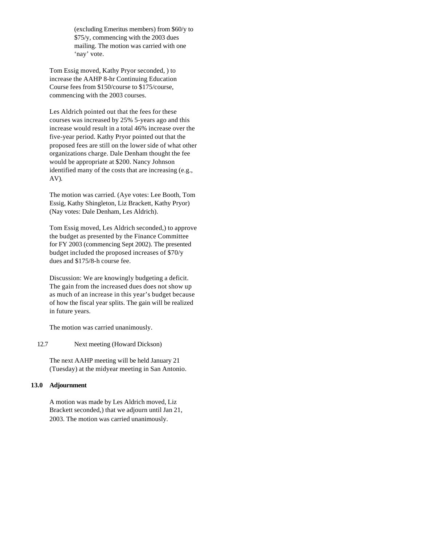(excluding Emeritus members) from \$60/y to \$75/y, commencing with the 2003 dues mailing. The motion was carried with one 'nay' vote.

Tom Essig moved, Kathy Pryor seconded, ) to increase the AAHP 8-hr Continuing Education Course fees from \$150/course to \$175/course, commencing with the 2003 courses.

Les Aldrich pointed out that the fees for these courses was increased by 25% 5-years ago and this increase would result in a total 46% increase over the five-year period. Kathy Pryor pointed out that the proposed fees are still on the lower side of what other organizations charge. Dale Denham thought the fee would be appropriate at \$200. Nancy Johnson identified many of the costs that are increasing (e.g., AV).

The motion was carried. (Aye votes: Lee Booth, Tom Essig, Kathy Shingleton, Liz Brackett, Kathy Pryor) (Nay votes: Dale Denham, Les Aldrich).

Tom Essig moved, Les Aldrich seconded,) to approve the budget as presented by the Finance Committee for FY 2003 (commencing Sept 2002). The presented budget included the proposed increases of \$70/y dues and \$175/8-h course fee.

Discussion: We are knowingly budgeting a deficit. The gain from the increased dues does not show up as much of an increase in this year's budget because of how the fiscal year splits. The gain will be realized in future years.

The motion was carried unanimously.

#### 12.7 Next meeting (Howard Dickson)

The next AAHP meeting will be held January 21 (Tuesday) at the midyear meeting in San Antonio.

#### **13.0 Adjournment**

A motion was made by Les Aldrich moved, Liz Brackett seconded,) that we adjourn until Jan 21, 2003. The motion was carried unanimously.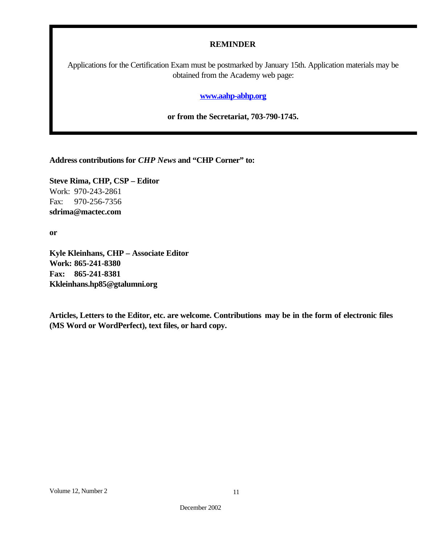### **REMINDER**

Applications for the Certification Exam must be postmarked by January 15th. Application materials may be obtained from the Academy web page:

### **www.aahp-abhp.org**

**or from the Secretariat, 703-790-1745.**

**Address contributions for** *CHP News* **and "CHP Corner" to:**

**Steve Rima, CHP, CSP – Editor** Work: 970-243-2861 Fax: 970-256-7356 **sdrima@mactec.com**

**or**

**Kyle Kleinhans, CHP – Associate Editor Work: 865-241-8380 Fax: 865-241-8381 Kkleinhans.hp85@gtalumni.org**

**Articles, Letters to the Editor, etc. are welcome. Contributions may be in the form of electronic files (MS Word or WordPerfect), text files, or hard copy.**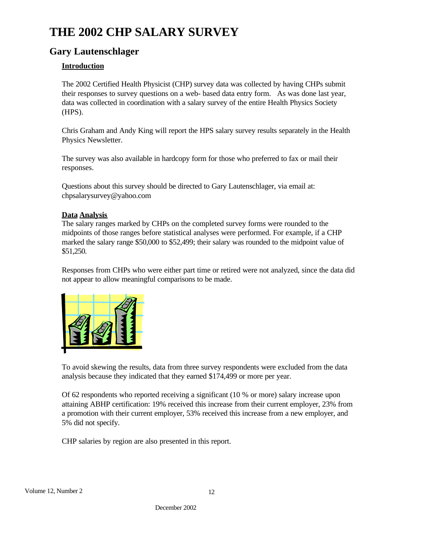# **THE 2002 CHP SALARY SURVEY**

# **Gary Lautenschlager**

### **Introduction**

The 2002 Certified Health Physicist (CHP) survey data was collected by having CHPs submit their responses to survey questions on a web- based data entry form. As was done last year, data was collected in coordination with a salary survey of the entire Health Physics Society (HPS).

Chris Graham and Andy King will report the HPS salary survey results separately in the Health Physics Newsletter.

The survey was also available in hardcopy form for those who preferred to fax or mail their responses.

Questions about this survey should be directed to Gary Lautenschlager, via email at: chpsalarysurvey@yahoo.com

### **Data Analysis**

The salary ranges marked by CHPs on the completed survey forms were rounded to the midpoints of those ranges before statistical analyses were performed. For example, if a CHP marked the salary range \$50,000 to \$52,499; their salary was rounded to the midpoint value of \$51,250.

Responses from CHPs who were either part time or retired were not analyzed, since the data did not appear to allow meaningful comparisons to be made.



To avoid skewing the results, data from three survey respondents were excluded from the data analysis because they indicated that they earned \$174,499 or more per year.

Of 62 respondents who reported receiving a significant (10 % or more) salary increase upon attaining ABHP certification: 19% received this increase from their current employer, 23% from a promotion with their current employer, 53% received this increase from a new employer, and 5% did not specify.

CHP salaries by region are also presented in this report.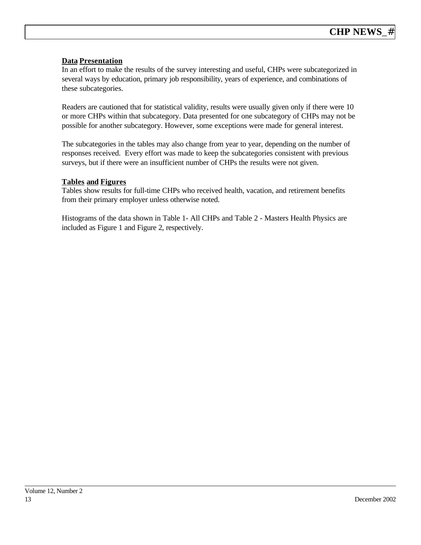### **Data Presentation**

In an effort to make the results of the survey interesting and useful, CHPs were subcategorized in several ways by education, primary job responsibility, years of experience, and combinations of these subcategories.

Readers are cautioned that for statistical validity, results were usually given only if there were 10 or more CHPs within that subcategory. Data presented for one subcategory of CHPs may not be possible for another subcategory. However, some exceptions were made for general interest.

The subcategories in the tables may also change from year to year, depending on the number of responses received. Every effort was made to keep the subcategories consistent with previous surveys, but if there were an insufficient number of CHPs the results were not given.

### **Tables and Figures**

Tables show results for full-time CHPs who received health, vacation, and retirement benefits from their primary employer unless otherwise noted.

Histograms of the data shown in Table 1- All CHPs and Table 2 - Masters Health Physics are included as Figure 1 and Figure 2, respectively.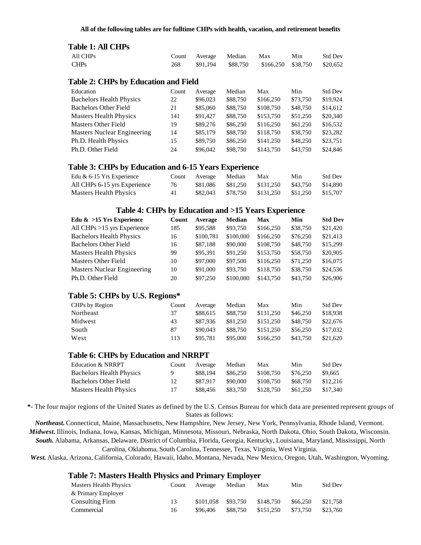### **Table 1: All CHPs**

| 1000 1111 VIII 9                            |       |          |          |           |          |                |
|---------------------------------------------|-------|----------|----------|-----------|----------|----------------|
| All CHPs                                    | Count | Average  | Median   | Max       | Min      | <b>Std Dev</b> |
| <b>CHPs</b>                                 | 268   | \$91,194 | \$88,750 | \$166,250 | \$38,750 | \$20,652       |
| <b>Table 2: CHPs by Education and Field</b> |       |          |          |           |          |                |
| Education                                   | Count | Average  | Median   | Max       | Min      | Std Dev        |
| <b>Bachelors Health Physics</b>             | 22    | \$96,023 | \$88,750 | \$166,250 | \$73,750 | \$19.924       |
| <b>Bachelors Other Field</b>                | 21    | \$85,060 | \$88,750 | \$108,750 | \$48,750 | \$14,612       |
| <b>Masters Health Physics</b>               | 141   | \$91.427 | \$88,750 | \$153,750 | \$51,250 | \$20,340       |
| Masters Other Field                         | 19    | \$89,276 | \$86,250 | \$116,250 | \$61,250 | \$16,532       |
| <b>Masters Nuclear Engineering</b>          | 14    | \$85,179 | \$88,750 | \$118,750 | \$38,750 | \$23,282       |
| Ph.D. Health Physics                        | 15    | \$89,750 | \$86,250 | \$141,250 | \$48,250 | \$23,751       |
| Ph.D. Other Field                           | 24    | \$96,042 | \$98,750 | \$143,750 | \$43,750 | \$24,846       |

### **Table 3: CHPs by Education and 6-15 Years Experience**

| Edu $\&$ 6-15 Yrs Experience | Count | Average  | Median   | Max       | Min      | <b>Std Dev</b> |
|------------------------------|-------|----------|----------|-----------|----------|----------------|
| All CHPs 6-15 yrs Experience | 76    | \$81.086 | \$81.250 | \$131.250 | \$43.750 | \$14.890       |
| Masters Health Physics       | 41    | \$82,043 | \$78.750 | \$131.250 | \$51.250 | \$15,707       |

### **Table 4: CHPs by Education and >15 Years Experience**

| Edu $\&$ >15 Yrs Experience                 | Count | Average   | Median    | <b>Max</b> | Min      | <b>Std Dev</b> |
|---------------------------------------------|-------|-----------|-----------|------------|----------|----------------|
| All CHPs $>15$ yrs Experience               | 185   | \$95,588  | \$93,750  | \$166,250  | \$38,750 | \$21,420       |
| <b>Bachelors Health Physics</b>             | 16    | \$100,781 | \$100,000 | \$166,250  | \$76,250 | \$21,413       |
| <b>Bachelors Other Field</b>                | 16    | \$87,188  | \$90,000  | \$108,750  | \$48,750 | \$15,299       |
| <b>Masters Health Physics</b>               | 99    | \$95,391  | \$91,250  | \$153,750  | \$58,750 | \$20,905       |
| <b>Masters Other Field</b>                  | 10    | \$97,000  | \$97,500  | \$116,250  | \$71,250 | \$16,075       |
| <b>Masters Nuclear Engineering</b>          | 10    | \$91,000  | \$93,750  | \$118,750  | \$38,750 | \$24,536       |
| Ph.D. Other Field                           | 20    | \$97,250  | \$100,000 | \$143,750  | \$43,750 | \$26,906       |
| Table 5: CHPs by U.S. Regions*              |       |           |           |            |          |                |
| CHPs by Region                              | Count | Average   | Median    | Max        | Min      | <b>Std Dev</b> |
| Northeast                                   | 37    | \$88,615  | \$88,750  | \$131,250  | \$46,250 | \$18,938       |
| Midwest                                     | 43    | \$87,936  | \$81,250  | \$151,250  | \$48,750 | \$22,676       |
| South                                       | 87    | \$90,043  | \$88,750  | \$151,250  | \$56,250 | \$17,032       |
| West                                        | 113   | \$95,781  | \$95,000  | \$166,250  | \$43,750 | \$21,620       |
| <b>Table 6: CHPs by Education and NRRPT</b> |       |           |           |            |          |                |
|                                             |       |           |           |            |          |                |

| Education & NRRPT               | Count    | Average  | Median   | Max       | Min      | <b>Std Dev</b> |
|---------------------------------|----------|----------|----------|-----------|----------|----------------|
| <b>Bachelors Health Physics</b> | <b>Q</b> | \$88,194 | \$86,250 | \$108.750 | \$76.250 | \$9.665        |
| <b>Bachelors Other Field</b>    | 12       | \$87.917 | \$90,000 | \$108.750 | \$68,750 | \$12,216       |
| <b>Masters Health Physics</b>   | 17       | \$88,456 | \$83.750 | \$128.750 | \$61,250 | \$17.340       |

**\*-** The four major regions of the United States as defined by the U.S. Census Bureau for which data are presented represent groups of States as follows:

*Northeast.* Connecticut, Maine, Massachusetts, New Hampshire, New Jersey, New York, Pennsylvania, Rhode Island, Vermont. *Midwest.* Illinois, Indiana, Iowa, Kansas, Michigan, Minnesota, Missouri, Nebraska, North Dakota, Ohio, South Dakota, Wisconsin. *South.* Alabama, Arkansas, Delaware, District of Columbia, Florida, Georgia, Kentucky, Louisiana, Maryland, Mississippi, North Carolina, Oklahoma, South Carolina, Tennessee, Texas, Virginia, West Virginia.

*West.* Alaska, Arizona, California, Colorado, Hawaii, Idaho, Montana, Nevada, New Mexico, Oregon, Utah, Washington, Wyoming.

#### **Table 7: Masters Health Physics and Primary Employer**

| Masters Health Physics | Count | Average   | Median   | Max       | Min      | <b>Std Dev</b> |
|------------------------|-------|-----------|----------|-----------|----------|----------------|
| & Primary Employer     |       |           |          |           |          |                |
| <b>Consulting Firm</b> | 13    | \$101.058 | \$93.750 | \$148.750 | \$66,250 | \$21,758       |
| Commercial             | 16    | \$96,406  | \$88,750 | \$151.250 | \$73,750 | \$23,760       |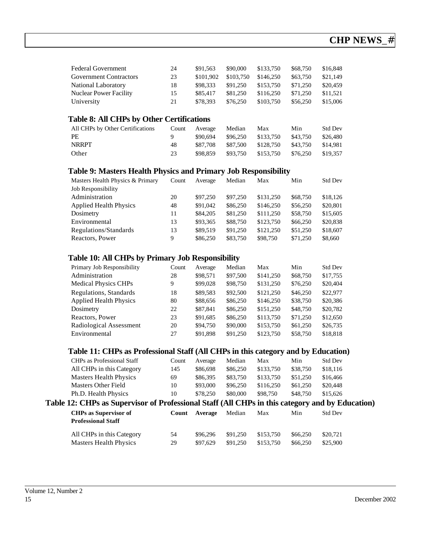| <b>Federal Government</b>                                                                                           | 24                     | \$91,563                                    | \$90,000                                   | \$133,750                                  | \$68,750                                | \$16,848                                           |
|---------------------------------------------------------------------------------------------------------------------|------------------------|---------------------------------------------|--------------------------------------------|--------------------------------------------|-----------------------------------------|----------------------------------------------------|
| <b>Government Contractors</b>                                                                                       | 23                     | \$101,902                                   | \$103,750                                  | \$146,250                                  | \$63,750                                | \$21,149                                           |
| <b>National Laboratory</b>                                                                                          | 18                     | \$98,333                                    | \$91,250                                   | \$153,750                                  | \$71,250                                | \$20,459                                           |
| <b>Nuclear Power Facility</b>                                                                                       | 15                     | \$85,417                                    | \$81,250                                   | \$116,250                                  | \$71,250                                | \$11,521                                           |
| University                                                                                                          | 21                     | \$78,393                                    | \$76,250                                   | \$103,750                                  | \$56,250                                | \$15,006                                           |
| <b>Table 8: All CHPs by Other Certifications</b><br>All CHPs by Other Certifications<br>PE<br><b>NRRPT</b><br>Other | Count<br>9<br>48<br>23 | Average<br>\$90,694<br>\$87,708<br>\$98,859 | Median<br>\$96,250<br>\$87,500<br>\$93,750 | Max<br>\$133,750<br>\$128,750<br>\$153,750 | Min<br>\$43,750<br>\$43,750<br>\$76,250 | <b>Std Dev</b><br>\$26,480<br>\$14,981<br>\$19,357 |

### **Table 9: Masters Health Physics and Primary Job Responsibility**

| Masters Health Physics & Primary | Count | Average  | Median   | Max       | Min      | <b>Std Dev</b> |
|----------------------------------|-------|----------|----------|-----------|----------|----------------|
| Job Responsibility               |       |          |          |           |          |                |
| Administration                   | 20    | \$97,250 | \$97,250 | \$131,250 | \$68,750 | \$18,126       |
| <b>Applied Health Physics</b>    | 48    | \$91,042 | \$86,250 | \$146,250 | \$56,250 | \$20,801       |
| Dosimetry                        | 11    | \$84,205 | \$81,250 | \$111,250 | \$58,750 | \$15,605       |
| Environmental                    | 13    | \$93,365 | \$88,750 | \$123,750 | \$66,250 | \$20,838       |
| Regulations/Standards            | 13    | \$89,519 | \$91,250 | \$121,250 | \$51,250 | \$18,607       |
| Reactors, Power                  | 9     | \$86,250 | \$83,750 | \$98,750  | \$71,250 | \$8,660        |

### **Table 10: All CHPs by Primary Job Responsibility**

| Primary Job Responsibility    | Count | Average  | Median   | Max       | Min      | <b>Std Dev</b> |
|-------------------------------|-------|----------|----------|-----------|----------|----------------|
| Administration                | 28    | \$98,571 | \$97,500 | \$141,250 | \$68,750 | \$17,755       |
| <b>Medical Physics CHPs</b>   | 9     | \$99,028 | \$98,750 | \$131,250 | \$76,250 | \$20,404       |
| Regulations, Standards        | 18    | \$89,583 | \$92,500 | \$121,250 | \$46,250 | \$22,977       |
| <b>Applied Health Physics</b> | 80    | \$88,656 | \$86,250 | \$146,250 | \$38,750 | \$20,386       |
| Dosimetry                     | 22    | \$87,841 | \$86,250 | \$151,250 | \$48,750 | \$20,782       |
| Reactors, Power               | 23    | \$91,685 | \$86,250 | \$113,750 | \$71,250 | \$12,650       |
| Radiological Assessment       | 20    | \$94,750 | \$90,000 | \$153,750 | \$61,250 | \$26,735       |
| Environmental                 | 27    | \$91.898 | \$91,250 | \$123,750 | \$58,750 | \$18,818       |

### **Table 11: CHPs as Professional Staff (All CHPs in this category and by Education)**

| CHPs as Professional Staff                                                                      | Count | Average  | Median   | Max       | Min      | <b>Std Dev</b> |  |
|-------------------------------------------------------------------------------------------------|-------|----------|----------|-----------|----------|----------------|--|
| All CHPs in this Category                                                                       | 145   | \$86,698 | \$86,250 | \$133,750 | \$38,750 | \$18,116       |  |
| <b>Masters Health Physics</b>                                                                   | 69    | \$86,395 | \$83,750 | \$133,750 | \$51,250 | \$16,466       |  |
| Masters Other Field                                                                             | 10    | \$93,000 | \$96,250 | \$116,250 | \$61,250 | \$20,448       |  |
| Ph.D. Health Physics                                                                            | 10    | \$78,250 | \$80,000 | \$98,750  | \$48,750 | \$15,626       |  |
| Table 12: CHPs as Supervisor of Professional Staff (All CHPs in this category and by Education) |       |          |          |           |          |                |  |

| к 12. СПІ з аз эпрег дзяг яг і гясозюцаг этап (тіп стіт з пі пів сакеді у ана ву ізайсано |    |               |          |           |          |                |  |
|-------------------------------------------------------------------------------------------|----|---------------|----------|-----------|----------|----------------|--|
| <b>CHPs as Supervisor of</b><br><b>Professional Staff</b>                                 |    | Count Average | Median   | Max       | Min      | <b>Std Dev</b> |  |
| All CHPs in this Category                                                                 | 54 | \$96.296      | \$91.250 | \$153.750 | \$66,250 | \$20,721       |  |
| Masters Health Physics                                                                    | 29 | \$97.629      | \$91.250 | \$153.750 | \$66,250 | \$25,900       |  |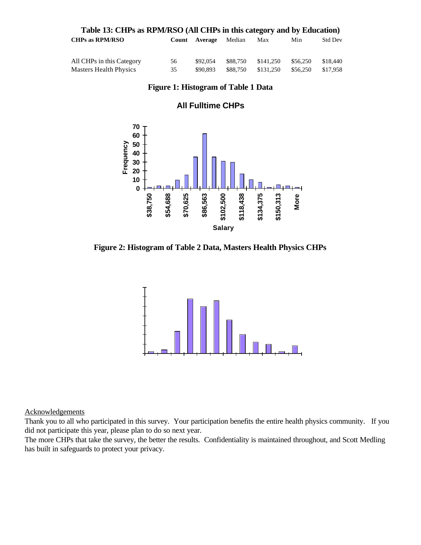| Table 13: CHPs as RPM/RSO (All CHPs in this category and by Education) |              |                |          |           |          |          |
|------------------------------------------------------------------------|--------------|----------------|----------|-----------|----------|----------|
| <b>CHPs as RPM/RSO</b>                                                 | <b>Count</b> | <b>Average</b> | Median   | Max       | Min      | Std Dev  |
| All CHPs in this Category                                              | 56           | \$92,054       | \$88.750 | \$141.250 | \$56,250 | \$18,440 |
| <b>Masters Health Physics</b>                                          | 35           | \$90,893       | \$88,750 | \$131.250 | \$56,250 | \$17,958 |

### **Figure 1: Histogram of Table 1 Data**

### **All Fulltime CHPs**



**Figure 2: Histogram of Table 2 Data, Masters Health Physics CHPs**



### Acknowledgements

Thank you to all who participated in this survey. Your participation benefits the entire health physics community. If you did not participate this year, please plan to do so next year.

The more CHPs that take the survey, the better the results. Confidentiality is maintained throughout, and Scott Medling has built in safeguards to protect your privacy.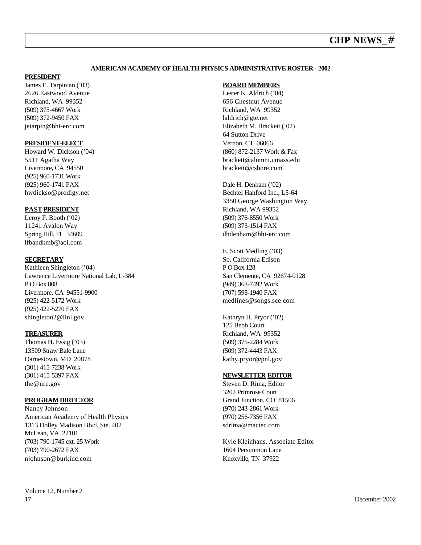### **AMERICAN ACADEMY OF HEALTH PHYSICS ADMINISTRATIVE ROSTER - 2002**

#### **PRESIDENT**

James E. Tarpinian ('03) 2626 Eastwood Avenue Richland, WA 99352 (509) 375-4667 Work (509) 372-9450 FAX jetarpin@bhi-erc.com

### **PRESIDENT-ELECT**

Howard W. Dickson ('04) 5511 Agatha Way Livermore, CA 94550 (925) 960-1731 Work (925) 960-1741 FAX hwdickso@prodigy.net

### **PAST PRESIDENT**

Leroy F. Booth ('02) 11241 Avalon Way Spring Hill, FL 34609 lfbandkmb@aol.com

### **SECRETARY**

Kathleen Shingleton ('04) Lawrence Livermore National Lab, L-384 P O Box 808 Livermore, CA 94551-9900 (925) 422-5172 Work (925) 422-5270 FAX shingleton2@llnl.gov

### **TREASURER**

Thomas H. Essig ('03) 13509 Straw Bale Lane Darnestown, MD 20878 (301) 415-7238 Work (301) 415-5397 FAX the@nrc.gov

### **PROGRAMDIRECTOR**

Nancy Johnson American Academy of Health Physics 1313 Dolley Madison Blvd, Ste. 402 McLean, VA 22101 (703) 790-1745 ext. 25 Work (703) 790-2672 FAX njohnson@burkinc.com

### **BOARD MEMBERS**

Lester K. Aldrich ('04) 656 Chestnut Avenue Richland, WA 99352 laldrich@gte.net Elizabeth M. Brackett ('02) 64 Sutton Drive Vernon, CT 06066 (860) 872-2137 Work & Fax brackett@alumni.umass.edu brackett@cshore.com

Dale H. Denham ('02) Bechtel Hanford Inc., L5-64 3350 George Washington Way Richland, WA 99352 (509) 376-8550 Work (509) 373-1514 FAX dhdenham@bhi-erc.com

E. Scott Medling ('03) So. California Edison P O Box 128 San Clemente, CA 92674-0128 (949) 368-7492 Work (707) 598-1940 FAX medlines@songs.sce.com

Kathryn H. Pryor ('02) 125 Bebb Court Richland, WA 99352 (509) 375-2284 Work (509) 372-4443 FAX kathy.pryor@pnl.gov

### **NEWSLETTER EDITOR**

Steven D. Rima, Editor 3202 Primrose Court Grand Junction, CO 81506 (970) 243-2861 Work (970) 256-7356 FAX sdrima@mactec.com

Kyle Kleinhans, Associate Editor 1604 Persimmon Lane Knoxville, TN 37922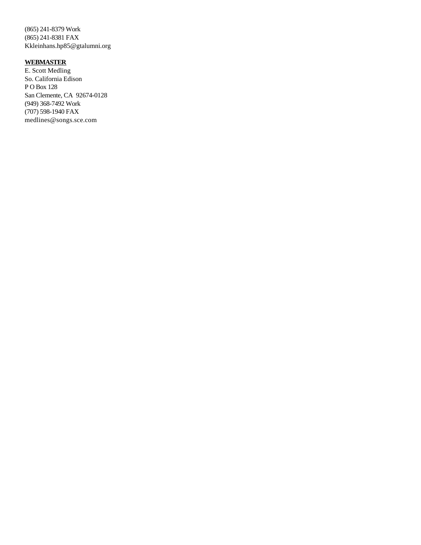(865) 241-8379 Work (865) 241-8381 FAX Kkleinhans.hp85@gtalumni.org

### **WEBMASTER**

E. Scott Medling So. California Edison P O Box 128 San Clemente, CA 92674-0128 (949) 368-7492 Work (707) 598-1940 FAX medlines@songs.sce.com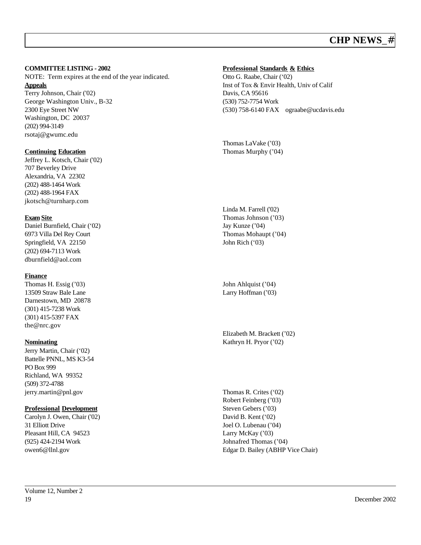### **COMMITTEE LISTING - 2002**

NOTE: Term expires at the end of the year indicated. **Appeals** Terry Johnson, Chair ('02) George Washington Univ., B-32 2300 Eye Street NW Washington, DC 20037 (202) 994-3149 rsotaj@gwumc.edu

### **Continuing Education**

Jeffrey L. Kotsch, Chair ('02) 707 Beverley Drive Alexandria, VA 22302 (202) 488-1464 Work (202) 488-1964 FAX jkotsch@turnharp.com

### **Exam Site**

Daniel Burnfield, Chair ('02) 6973 Villa Del Rey Court Springfield, VA 22150 (202) 694-7113 Work dburnfield@aol.com

### **Finance**

Thomas H. Essig ('03) 13509 Straw Bale Lane Darnestown, MD 20878 (301) 415-7238 Work (301) 415-5397 FAX the@nrc.gov

### **Nominating**

Jerry Martin, Chair ('02) Battelle PNNL, MS K3-54 PO Box 999 Richland, WA 99352 (509) 372-4788 jerry.martin@pnl.gov

### **Professional Development**

Carolyn J. Owen, Chair ('02) 31 Elliott Drive Pleasant Hill, CA 94523 (925) 424-2194 Work owen6@llnl.gov

# **Professional Standards & Ethics**

Otto G. Raabe, Chair ('02) Inst of Tox & Envir Health, Univ of Calif Davis, CA 95616 (530) 752-7754 Work (530) 758-6140 FAX ograabe@ucdavis.edu

Thomas LaVake ('03) Thomas Murphy ('04)

Linda M. Farrell ('02) Thomas Johnson ('03) Jay Kunze ('04) Thomas Mohaupt ('04) John Rich ('03)

John Ahlquist ('04) Larry Hoffman ('03)

Elizabeth M. Brackett ('02) Kathryn H. Pryor ('02)

Thomas R. Crites ('02) Robert Feinberg ('03) Steven Gebers ('03) David B. Kent ('02) Joel O. Lubenau ('04) Larry McKay ('03) Johnafred Thomas ('04) Edgar D. Bailey (ABHP Vice Chair)